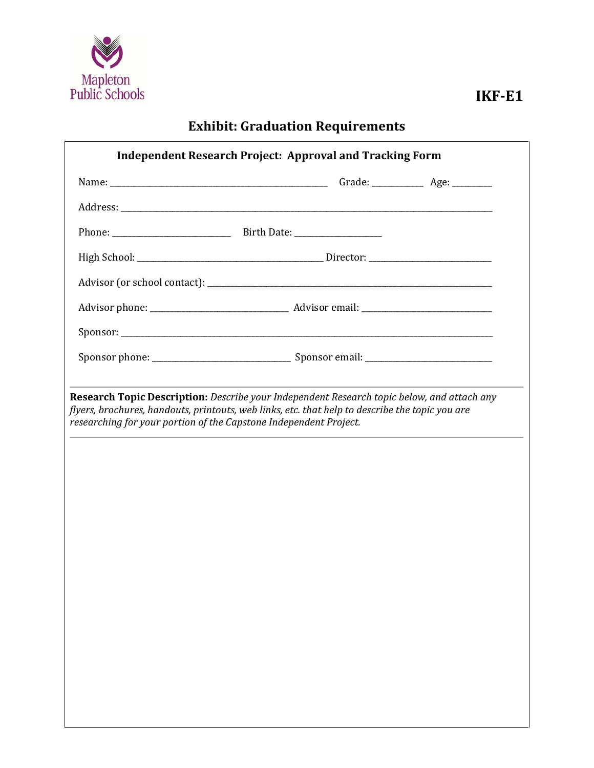

# **Exhibit: Graduation Requirements**

| Research Topic Description: Describe your Independent Research topic below, and attach any<br>flyers, brochures, handouts, printouts, web links, etc. that help to describe the topic you are<br>researching for your portion of the Capstone Independent Project. |  |  |
|--------------------------------------------------------------------------------------------------------------------------------------------------------------------------------------------------------------------------------------------------------------------|--|--|
|                                                                                                                                                                                                                                                                    |  |  |
|                                                                                                                                                                                                                                                                    |  |  |
|                                                                                                                                                                                                                                                                    |  |  |
|                                                                                                                                                                                                                                                                    |  |  |
|                                                                                                                                                                                                                                                                    |  |  |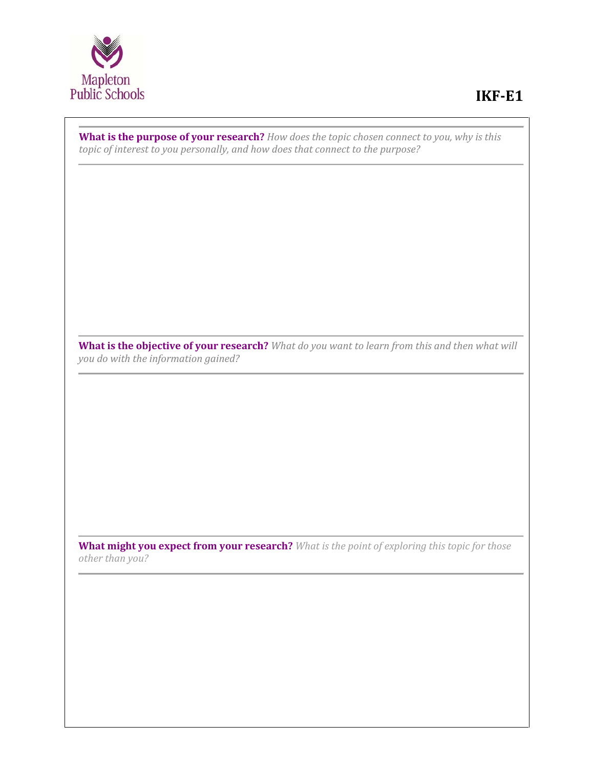

**What is the purpose of your research?** *How does the topic chosen connect to you, why is this topic of interest to you personally, and how does that connect to the purpose?*

**What is the objective of your research?** *What do you want to learn from this and then what will you do with the information gained?*

**What might you expect from your research?** *What is the point of exploring this topic for those other than you?*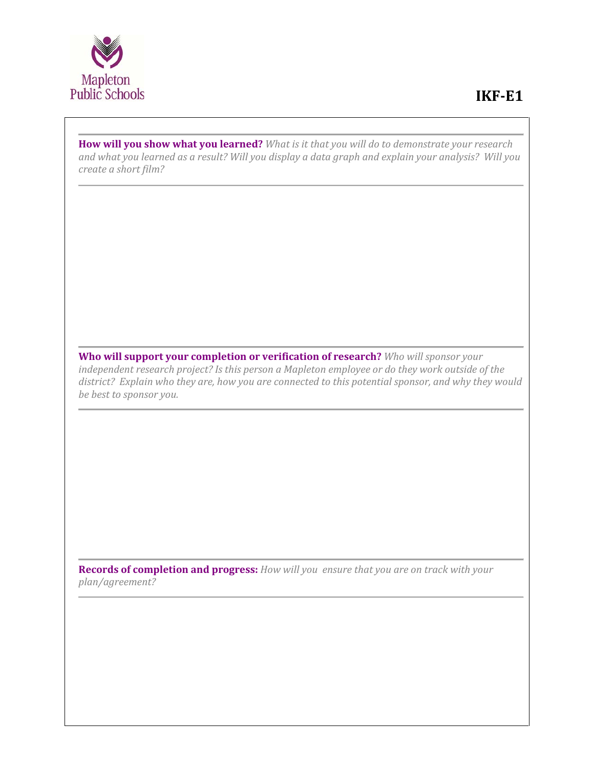

**How will you show what you learned?** *What is it that you will do to demonstrate your research and what you learned as a result? Will you display a data graph and explain your analysis? Will you create a short film?* 

**Who will support your completion or verification of research?** *Who will sponsor your independent research project? Is this person a Mapleton employee or do they work outside of the district? Explain who they are, how you are connected to this potential sponsor, and why they would be best to sponsor you.*

**Records of completion and progress:** *How will you ensure that you are on track with your plan/agreement?*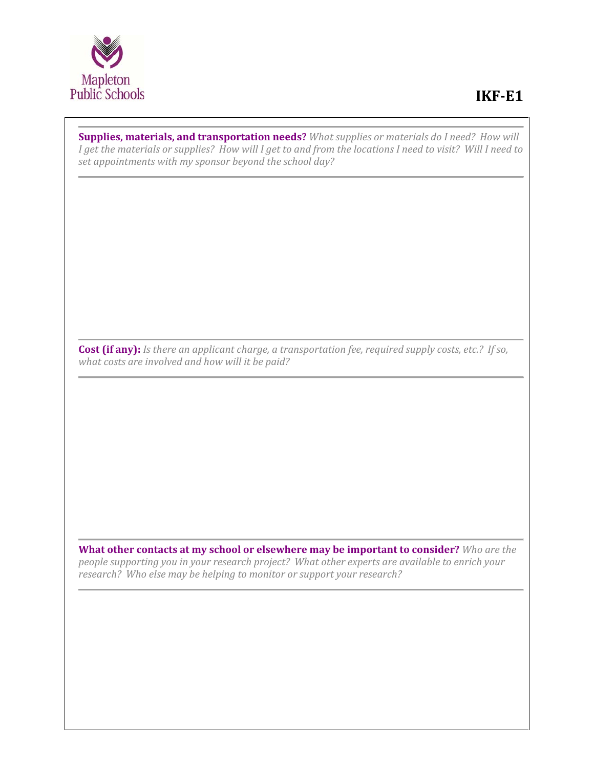

## **IKF-E1**

**Supplies, materials, and transportation needs?** *What supplies or materials do I need? How will I get the materials or supplies? How will I get to and from the locations I need to visit? Will I need to set appointments with my sponsor beyond the school day?* 

**Cost (if any):** *Is there an applicant charge, a transportation fee, required supply costs, etc.? If so, what costs are involved and how will it be paid?*

**What other contacts at my school or elsewhere may be important to consider?** *Who are the people supporting you in your research project? What other experts are available to enrich your research? Who else may be helping to monitor or support your research?*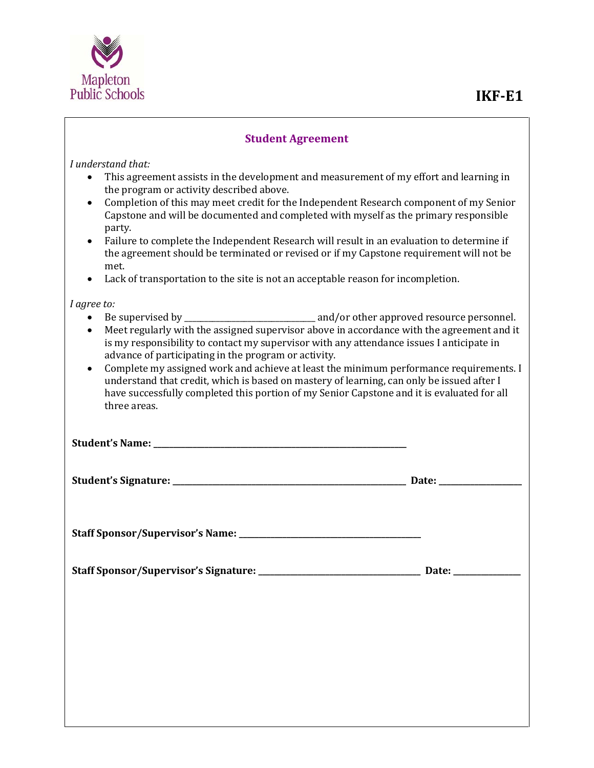

### **IKF-E1**

#### **Student Agreement**

*I understand that:*

- This agreement assists in the development and measurement of my effort and learning in the program or activity described above.
- Completion of this may meet credit for the Independent Research component of my Senior Capstone and will be documented and completed with myself as the primary responsible party.
- Failure to complete the Independent Research will result in an evaluation to determine if the agreement should be terminated or revised or if my Capstone requirement will not be met.
- Lack of transportation to the site is not an acceptable reason for incompletion.

*I agree to:*

- Be supervised by \_\_\_\_\_\_\_\_\_\_\_\_\_\_\_\_\_\_\_\_\_\_\_\_\_\_\_\_\_\_\_\_\_ and/or other approved resource personnel.
- Meet regularly with the assigned supervisor above in accordance with the agreement and it is my responsibility to contact my supervisor with any attendance issues I anticipate in advance of participating in the program or activity.
- Complete my assigned work and achieve at least the minimum performance requirements. I understand that credit, which is based on mastery of learning, can only be issued after I have successfully completed this portion of my Senior Capstone and it is evaluated for all three areas.

**Student's Name: \_\_\_\_\_\_\_\_\_\_\_\_\_\_\_\_\_\_\_\_\_\_\_\_\_\_\_\_\_\_\_\_\_\_\_\_\_\_\_\_\_\_\_\_\_\_\_\_\_\_\_\_\_\_\_\_\_\_\_\_\_\_\_\_**

**Student's Signature: \_\_\_\_\_\_\_\_\_\_\_\_\_\_\_\_\_\_\_\_\_\_\_\_\_\_\_\_\_\_\_\_\_\_\_\_\_\_\_\_\_\_\_\_\_\_\_\_\_\_\_\_\_\_\_\_\_\_\_ Date: \_\_\_\_\_\_\_\_\_\_\_\_\_\_\_\_\_\_\_\_\_**

**Staff Sponsor/Supervisor's Name: \_\_\_\_\_\_\_\_\_\_\_\_\_\_\_\_\_\_\_\_\_\_\_\_\_\_\_\_\_\_\_\_\_\_\_\_\_\_\_\_\_\_\_\_\_\_**

**Staff Sponsor/Supervisor's Signature: \_\_\_\_\_\_\_\_\_\_\_\_\_\_\_\_\_\_\_\_\_\_\_\_\_\_\_\_\_\_\_\_\_\_\_\_\_\_\_\_\_ Date: \_\_\_\_\_\_\_\_\_\_\_\_\_\_\_\_\_**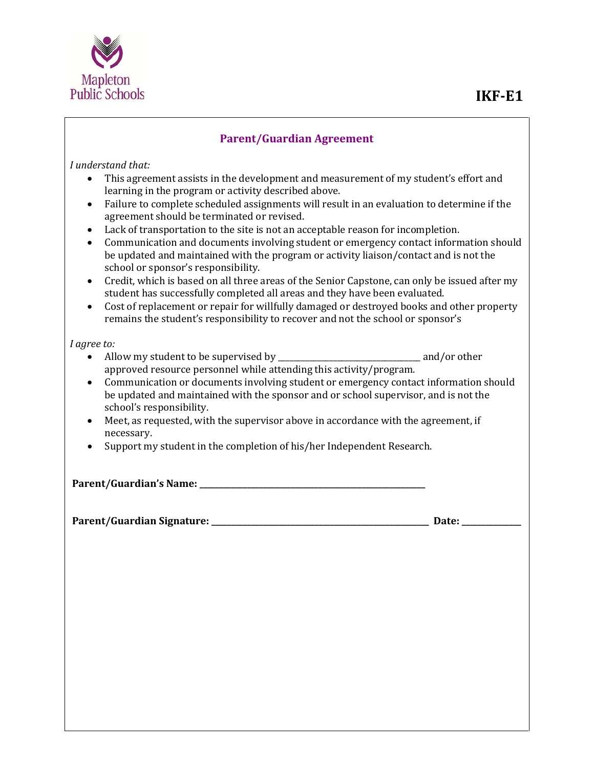

### **IKF-E1**

#### **Parent/Guardian Agreement**

*I understand that:*

- This agreement assists in the development and measurement of my student's effort and learning in the program or activity described above.
- Failure to complete scheduled assignments will result in an evaluation to determine if the agreement should be terminated or revised.
- Lack of transportation to the site is not an acceptable reason for incompletion.
- Communication and documents involving student or emergency contact information should be updated and maintained with the program or activity liaison/contact and is not the school or sponsor's responsibility.
- Credit, which is based on all three areas of the Senior Capstone, can only be issued after my student has successfully completed all areas and they have been evaluated.
- Cost of replacement or repair for willfully damaged or destroyed books and other property remains the student's responsibility to recover and not the school or sponsor's

*I agree to:*

- Allow my student to be supervised by \_\_\_\_\_\_\_\_\_\_\_\_\_\_\_\_\_\_\_\_\_\_\_\_\_\_\_\_\_\_\_\_\_\_\_\_ and/or other approved resource personnel while attending this activity/program.
- Communication or documents involving student or emergency contact information should be updated and maintained with the sponsor and or school supervisor, and is not the school's responsibility.
- Meet, as requested, with the supervisor above in accordance with the agreement, if necessary.
- Support my student in the completion of his/her Independent Research.

**Parent/Guardian's Name: \_\_\_\_\_\_\_\_\_\_\_\_\_\_\_\_\_\_\_\_\_\_\_\_\_\_\_\_\_\_\_\_\_\_\_\_\_\_\_\_\_\_\_\_\_\_\_\_\_\_\_\_\_\_\_\_\_**

**Parent/Guardian Signature: \_\_\_\_\_\_\_\_\_\_\_\_\_\_\_\_\_\_\_\_\_\_\_\_\_\_\_\_\_\_\_\_\_\_\_\_\_\_\_\_\_\_\_\_\_\_\_\_\_\_\_\_\_\_\_ Date: \_\_\_\_\_\_\_\_\_\_\_\_\_\_\_**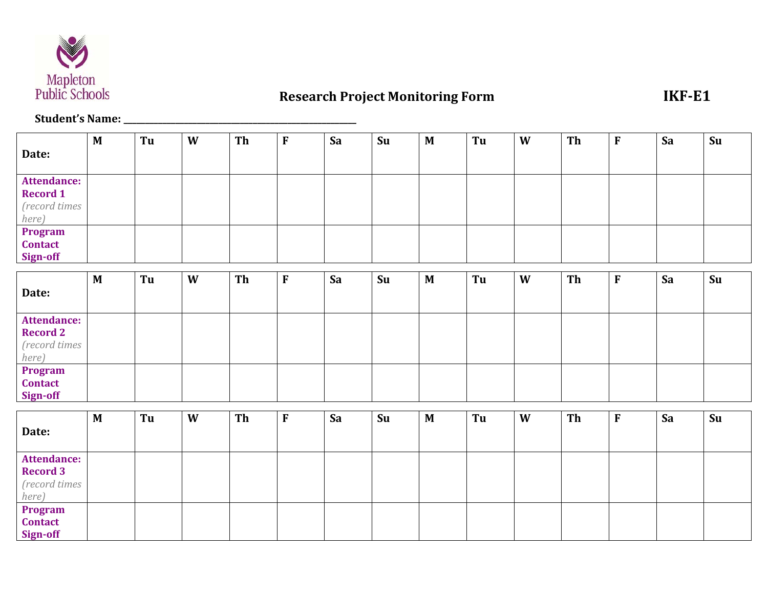

# **Research Project Monitoring Form IKF-E1**

### **Student's Name: \_\_\_\_\_\_\_\_\_\_\_\_\_\_\_\_\_\_\_\_\_\_\_\_\_\_\_\_\_\_\_\_\_\_\_\_\_\_\_\_\_\_\_\_\_\_\_\_\_\_\_\_\_\_**

|                    | $\mathbf{M}$ | Tu | W | Th | $\boldsymbol{\mathrm{F}}$ | Sa | Su | $\mathbf M$  | Tu | W | Th | ${\bf F}$   | Sa | Su |
|--------------------|--------------|----|---|----|---------------------------|----|----|--------------|----|---|----|-------------|----|----|
| Date:              |              |    |   |    |                           |    |    |              |    |   |    |             |    |    |
| <b>Attendance:</b> |              |    |   |    |                           |    |    |              |    |   |    |             |    |    |
| <b>Record 1</b>    |              |    |   |    |                           |    |    |              |    |   |    |             |    |    |
| (record times      |              |    |   |    |                           |    |    |              |    |   |    |             |    |    |
| here)              |              |    |   |    |                           |    |    |              |    |   |    |             |    |    |
| Program            |              |    |   |    |                           |    |    |              |    |   |    |             |    |    |
| <b>Contact</b>     |              |    |   |    |                           |    |    |              |    |   |    |             |    |    |
| Sign-off           |              |    |   |    |                           |    |    |              |    |   |    |             |    |    |
|                    | M            | Tu | W | Th | $\mathbf{F}$              | Sa | Su | $\mathbf{M}$ | Tu | W | Th | ${\bf F}$   | Sa | Su |
| Date:              |              |    |   |    |                           |    |    |              |    |   |    |             |    |    |
|                    |              |    |   |    |                           |    |    |              |    |   |    |             |    |    |
| <b>Attendance:</b> |              |    |   |    |                           |    |    |              |    |   |    |             |    |    |
| <b>Record 2</b>    |              |    |   |    |                           |    |    |              |    |   |    |             |    |    |
| (record times      |              |    |   |    |                           |    |    |              |    |   |    |             |    |    |
| here)              |              |    |   |    |                           |    |    |              |    |   |    |             |    |    |
| Program            |              |    |   |    |                           |    |    |              |    |   |    |             |    |    |
| <b>Contact</b>     |              |    |   |    |                           |    |    |              |    |   |    |             |    |    |
| Sign-off           |              |    |   |    |                           |    |    |              |    |   |    |             |    |    |
|                    | $\mathbf{M}$ | Tu | W | Th | ${\bf F}$                 | Sa | Su | $\mathbf{M}$ | Tu | W | Th | $\mathbf F$ | Sa | Su |
| Date:              |              |    |   |    |                           |    |    |              |    |   |    |             |    |    |
|                    |              |    |   |    |                           |    |    |              |    |   |    |             |    |    |
| <b>Attendance:</b> |              |    |   |    |                           |    |    |              |    |   |    |             |    |    |
| <b>Record 3</b>    |              |    |   |    |                           |    |    |              |    |   |    |             |    |    |
| (record times      |              |    |   |    |                           |    |    |              |    |   |    |             |    |    |
| here)              |              |    |   |    |                           |    |    |              |    |   |    |             |    |    |
| Program            |              |    |   |    |                           |    |    |              |    |   |    |             |    |    |
| <b>Contact</b>     |              |    |   |    |                           |    |    |              |    |   |    |             |    |    |
| Sign-off           |              |    |   |    |                           |    |    |              |    |   |    |             |    |    |